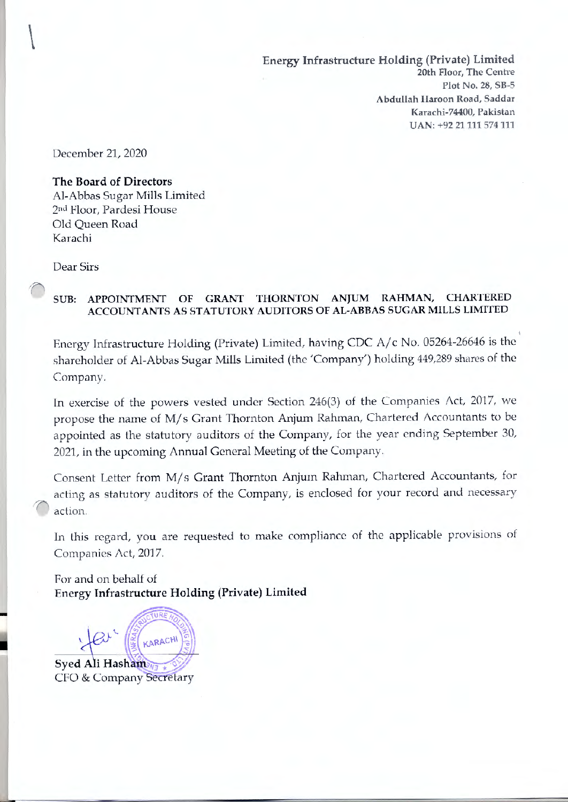**Energy Infrastructure Holding (Private) Limited 20th Floor, The Centre Plot No. 28, SB-5 Abdullah Haroon Road, Saddar Karachi-74400, Pakistan UAN: +92 21111 574111** 

December 21, 2020

 $\begin{array}{c} \hline \end{array}$ 

### **The Board of Directors**

Al-Abbas Sugar Mills Limited 2nd Floor, Pardesi House Old Queen Road Ka rachi

Dear Sirs

# **SUB: APPOINTMENT OF GRANT THORNTON ANJUM RAHMAN, CHARTERED ACCOUNTANTS AS STATUTORY AUDITORS OF AL-ABBAS SUGAR MILLS LIMITED**

Energy Infrastructure Holding (Private) Limited, having CDC A/c No. 05264-26646 is the shareholder of Al-Abbas Sugar Mills Limited (the 'Company') holding 449,289 shares of the Company.

In exercise of the powers vested under Section 246(3) of the Companies Act, 2017, we propose the name of M/s Grant Thornton Anjum Rahman, Chartered Accountants to be appointed as the statutory auditors of the Company, for the year ending September 30, 2021, in the upcoming Annual General Meeting of the Company.

Consent Letter from M/s Grant Thornton Anjum Rahman, Chartered Accountants, for acting as statutory auditors of the Company, *is* enclosed for your record and necessary *1'* action.

In this regard, you are requested to make compliance of the applicable provisions of Companies Act, 2017.

For and on behalf of **Energy Infrastructure Holding (Private) Limited** 

KARACHI Syed Ali Hasham CFO & Company Secretary

-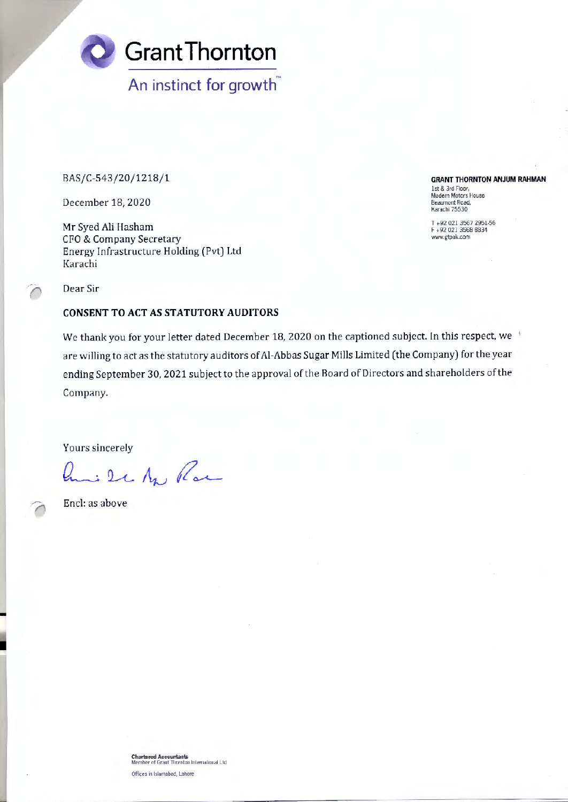

BAS/C-543/20/1218/1

December 18, 2020

Mr Sved Ali Hasham CFO & Company Secretary Energy Infrastructure Holding (Pvt) Ltd Karachi

**GRANT THORNTON ANJUM RAHMAN**  I st & 3rd Floor.

Modern Motors House Beaumont Road. Karachi 75530

T +92 021 3567 2951-56 F +92 021 3568 8834 www.gtpak.com

Dear Sir

#### **CONSENT TO ACT AS STATUTORY AUDITORS**

We thank you for your letter dated December 18, 2020 on the captioned subject. In this respect, we are willing to act as the statutory auditors of Al-Abbas Sugar Mills Limited (the Company) for the year ending September 30, 2021 subject to the approval of the Board of Directors and shareholders of the Company.

Yours sincerely

in 2 c Ap Par

Encl: as above

-

**Chartered Accountants**<br>Member of Grant Thornton International Ltd Offices in Islamabad, Lahore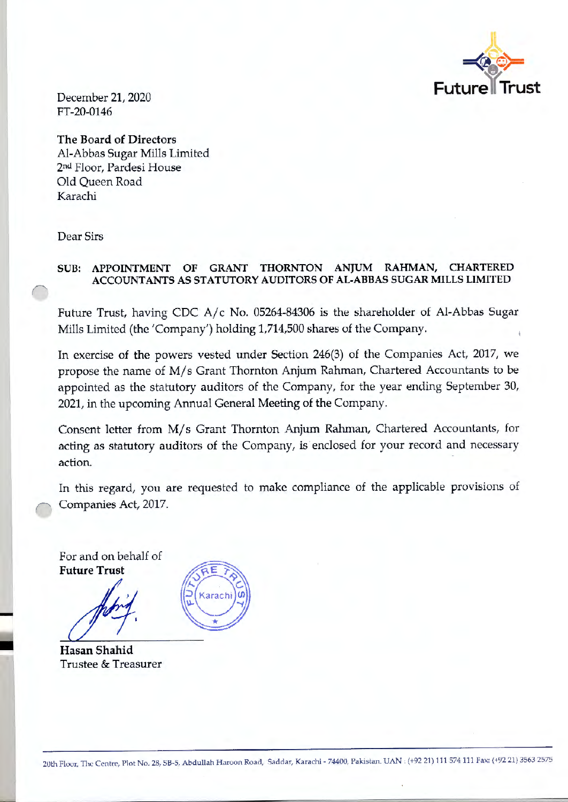

December 21, 2020 FT-20-0146

**The Board of Directors**  Al-Abbas Sugar Mills Limited 2nu Floor, Pardesi House Old Queen Road Karachi

Dear Sirs

## **SUB: APPOINTMENT OF GRANT THORNTON ANJUM RAHMAN, CHARTERED ACCOUNT ANTS AS STATUTORY AUDITORS OF AL-ABBAS SUGAR MILLS LIMITED**

Future Trust, having CDC A/c No. 05264-84306 is the shareholder of Al-Abbas Sugar Mills Limited (the 'Company') holding 1,714,500 shares of the Company.

In exercise of the powers vested under Section 246(3) of the Companies Act, 2017, we propose the name of M/s Grant Thornton Anjum Rahman, Chartered Accountants to be appointed as the statutory auditors of the Company, for the year ending September 30, 2021, in the upcoming Annual General Meeting of the Company.

Consent letter from M/s Grant Thornton Anjum Rahman, Chartered Accountants, for acting as statutory auditors of the Company, is· enclosed for your record and necessary action.

In this regard, you are requested to make compliance of the applicable provisions of Companies Act, 2017.

For and on behalf of **Future Trust** 

-

**Hasan Shahid**  Trustee & Treasurer